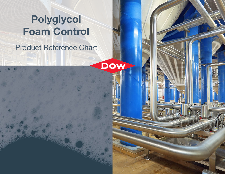# Polyglycol Foam Control

Product Reference Chart

DOW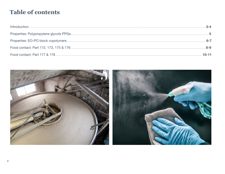# **Table of contents**

| $10 - 11$ |
|-----------|

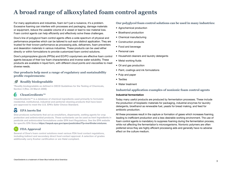## <span id="page-2-0"></span>**A broad range of alkoxylated foam control agents**

For many applications and industries, foam isn't just a nuisance, it's a problem. Excessive foaming can interfere with processes and packaging, damage materials or equipment, reduce the useable volume of a vessel or lead to raw material loss. Foam control agents can help efficiently and effectively solve these challenges.

Dow's line of polyglycol foam control agents offers a wide spectrum of physical and performance properties which can be tailored to suit each distinct application. They are trusted for their known performance as processing aids, defoamers, foam preventers and deaeration materials in various industries. These products can be used either directly or within formulations to provide customized foam control solutions.

Dow's polypropylene glycols (PPGs) and EO/PO copolymers are effective foam control agents because of their low foam characteristics and inverse water solubility. These products are available in liquid form, with different cloud points and viscosities to meet diverse needs.

#### **Our products help meet a range of regulatory and sustainability profile requirements:**

#### **Readily biodegradable**

\*Readily biodegradable as defined in OECD Guidelines for the Testing of Chemicals, Section 3 (Rev. 23 March 2006)

### **CleanGredients™**

CleanGredients™ is a database of chemical ingredients used primarily to formulate residential, institutional, industrial and janitorial cleaning products that have been pre-approved to meet the U.S. EPA's Safer Choice Standard.

#### **EPA inerts list**  $\blacktriangledown$

Dow produces surfactants that act as emulsifiers, dispersants, wetting agents for crop protection and antimicrobial products. These surfactants can be used as Inert Ingredients in pesticide and antimicrobial formulations under EPA Inert Regulations. See the EPA website for specific EPA Status [https://iaspub.epa.gov/apex/pesticides/f?p=inertfinder:mixtures.](https://iaspub.epa.gov/apex/pesticides/f?p=inertfinder:mixtures)

### **FDA Approval**

Several of Dow's foam control solutions meet various FDA food contact regulations, including indirect and secondary direct food contact approval. A selection of grades additionally carry Kosher certification or are Halal compliant.

#### **Our polyglycol foam control solutions can be used in many industries:**

- Agrochemical production
- Bioethanol production
- Chemical manufacturing
- Construction products
- Food and beverage
- Personal care
- Household cleaners and laundry detergents
- Metal working fluids
- Oil and gas production
- Paint, coatings and ink formulations
- Pulp and paper
- Textiles
- Water treatment

#### **Industrial application examples of nonionic foam control agents**

#### Industrial fermentation

Today many useful products are produced by fermentation processes. These include the production of bioplastic materials for packaging, industrial enzymes for laundry detergents, bioethanol as renewable fuel, yeasts for bread making, and feed for antibiotic production.

All these processes result in the capture or formation of gases which increases foaming, leading to inefficient production and a less desirable working environment. The use of foam control agents is mandatory to suppress foaming during the fermentation process, while not affecting the fermentation's microorganisms. Nonionic polymers are often preferred since they are highly efficient processing aids and generally have no adverse effect on the culture medium.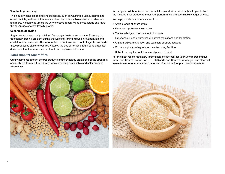#### <span id="page-3-0"></span>Vegetable processing

This industry consists of different processes, such as washing, cutting, slicing, and others, which yield foams that are stabilized by proteins, bio-surfactants, starches, and more. Nonionic polymers are very effective in controlling these foams and have the advantage of a low toxicity profile.

#### Sugar manufacturing

Sugar products are mainly obtained from sugar beets or sugar cane. Foaming has traditionally been a problem during the washing, liming, diffusion, evaporation and crystallization processes. The introduction of nonionic foam control agents has made these processes easier to control. Notably, the use of nonionic foam control agents does not affect the fermentation of molasses by microbial action.

#### **Total support capabilities**

Our investments in foam control products and technology create one of the strongest capability platforms in the industry, while providing sustainable and safer product alternatives.

We are your collaborative source for solutions and will work closely with you to find the most optimal product to meet your performance and sustainability requirements.

We help provide customers access to…

- A wide range of chemistries
- Extensive applications expertise
- The knowledge and resources to innovate
- Experience in and awareness of current regulations and legislation
- A global sales, distribution and technical support network
- Global supply from high-class manufacturing facilities
- Reliable supply for confidence and peace of mind

For the most recent regulatory information, please contact your Dow representative for a Food Contact Letter. For TDS, SDS and Food Contact Letters, you can also visit www.dow.com or contact the Customer Information Group at +1-800-258-2436.

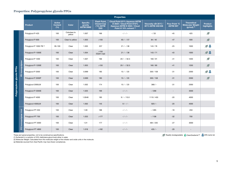#### <span id="page-4-0"></span>**Properties: Polypropylene glycols PPGs**

|                            |                      |                          |                                        |                        |                                                |                                                              | <b>Properties</b>                                                                                                          |                                           |                                  |                                                                  |                              |
|----------------------------|----------------------|--------------------------|----------------------------------------|------------------------|------------------------------------------------|--------------------------------------------------------------|----------------------------------------------------------------------------------------------------------------------------|-------------------------------------------|----------------------------------|------------------------------------------------------------------|------------------------------|
|                            |                      | <b>Product</b>           | <b>Active</b><br><b>Content</b><br>(%) | Color                  | <b>Specific</b><br>gravity<br><b>ASTM D892</b> | <b>Flash Point,</b><br><b>Closed Cup</b><br>(°C) ASTM<br>D93 | <b>Cloud Point @1% Aqueous ASTM</b><br>D 2024 / Cloud Point @10%<br>Aqueous ASTM D 2024 / Cloud<br>Point @ 10% solvent (1) | Viscosity cSt 25°C /<br>40°C ASTM 445/446 | Pour Point °C<br><b>ASTM D97</b> | <b>Theoretical</b><br><b>Molecular Weight</b><br>$(g/mol)^{(2)}$ | <b>Product</b><br>highlights |
|                            |                      | Polyglycol P-425         | 100                                    | Colorless to<br>yellow | 1.007                                          | 166                                                          | $-/-/-$                                                                                                                    | $- / 33$                                  | $-45$                            | 425                                                              | $\overline{\mathcal{L}}$     |
|                            |                      | Polyglycol P-600         | 100                                    | Clear to yellow        | 1.003                                          | $>100$                                                       | $65 / - 157$                                                                                                               | 84 / 40                                   | $-47$                            | 600                                                              | Ø                            |
|                            |                      | Polyglycol P 1000-TB (a) | 95-100                                 | Clear                  | 1.005                                          | 237                                                          | $21 / - 38$                                                                                                                | 143/78                                    | $-25$                            | 1000                                                             | $\mathcal{A}$                |
|                            |                      | Polyglycol P-1000E       | 100                                    | Clear                  | 1.004                                          | $>150$<br>(Open cup)                                         | $21 / - 38$                                                                                                                | 143/71                                    | $-43$                            | 1000                                                             | $9\,$                        |
|                            |                      | Polyglycol P 1200        | 100                                    | Clear                  | 1.007                                          | 166                                                          | $20 / - 732.5$                                                                                                             | 160/91                                    | $-41$                            | 1200                                                             | $\overline{\mathscr{L}}$     |
|                            |                      | Polyglycol P-1200E       | 100                                    | Clear                  | 1.003                                          | $>150$                                                       | $20 / - 732.5$                                                                                                             | 160 / 80                                  | $-41$                            | 1200                                                             | $\overline{\mathcal{L}}$     |
| Polypropylene glycols PPGs | PO homopolymer       | Polyglycol P 2000        | 100                                    | Clear                  | 0.999                                          | 185                                                          | $15 / - / 20$                                                                                                              | 300 / 158                                 | $-31$                            | 2000                                                             | $\mathcal{A}$                |
|                            |                      | Polyglycol P 2000P       | 100                                    | Clear                  | 0.999                                          | 185                                                          | $15 / - / 20$                                                                                                              | 300 / 158                                 | $-31$                            | 2000                                                             | Ø                            |
|                            |                      | Polyglycol 2000LM        | 100                                    | Clear                  | 1.002                                          | 174                                                          | $15 / - / 20$                                                                                                              | $368/ -$                                  | $-31$                            | 2000                                                             |                              |
|                            |                      | Polyglycol P-3000E       | 100                                    | Clear                  | 1.025                                          | 169                                                          | $-/-/-$                                                                                                                    | $- / 268$                                 | $\overline{\phantom{a}}$         | 3000                                                             |                              |
|                            |                      | Polyglycol P 4000        | 100                                    | Clear                  | 1.0048                                         | 185                                                          | $9/-/10.0$                                                                                                                 | 1110 / 455                                | $-20$                            | 4000                                                             |                              |
|                            |                      | Polyglycol 4000LM        | 100                                    | Clear                  | 1.002                                          | 145                                                          | $9/-/-$                                                                                                                    | $920/ -$                                  | $-20$                            | 4000                                                             |                              |
|                            |                      | Polyglycol PT 250        | 100                                    | Clear                  | 1.09                                           | 188                                                          | $-1-1-$                                                                                                                    | $- / 285$                                 | $-18$                            | 250                                                              |                              |
|                            |                      | Polyglycol PT 700        | 100                                    | Clear                  | 1.033                                          | >177                                                         | $-/-/-$                                                                                                                    | $- / 108$                                 | $-32$                            | 700                                                              |                              |
|                            | PO homopolymer triol | Polyglycol PT 3000       | 100                                    | Clear                  | 1.01                                           | 177                                                          | $-/-/-$                                                                                                                    | 484 / 235                                 | $-27$                            | 3000                                                             |                              |
|                            |                      | Polyglycol PT 4800       | 100                                    | Clear                  | 1.018                                          | >182                                                         | $-/-/-$                                                                                                                    | $435/ -$                                  | $-29$                            |                                                                  |                              |

These are typical properties, not to be construed as specifications. (1) Surfactant in a solution of 25% diethylene glycol butyl ether in water.

(2) Molecular Weight: Calculated from the molecular weight of the initiator and oxide units in the molecule.

(a) Materials sourced from Asia Pacific may have fewer compliances.

Readily biodegradable CleanGredients™ EPA inerts list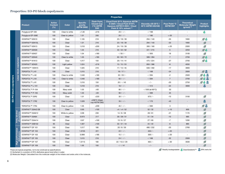#### <span id="page-5-0"></span>**Properties: EO-PO block copolymers**

|                        |                         |                    |                                        |                 |                                                |                                                                     | <b>Properties</b>                                                                                                          |                                           |                                  |                                                                         |                                                         |
|------------------------|-------------------------|--------------------|----------------------------------------|-----------------|------------------------------------------------|---------------------------------------------------------------------|----------------------------------------------------------------------------------------------------------------------------|-------------------------------------------|----------------------------------|-------------------------------------------------------------------------|---------------------------------------------------------|
|                        |                         | <b>Product</b>     | <b>Active</b><br><b>Content</b><br>(%) | <b>Color</b>    | <b>Specific</b><br>gravity<br><b>ASTM D892</b> | <b>Flash Point,</b><br><b>Closed Cup</b><br>(°C) ASTM<br><b>D93</b> | <b>Cloud Point @1% Aqueous ASTM</b><br>D 2024 / Cloud Point @10%<br>Aqueous ASTM D 2024 / Cloud<br>Point @ 10% solvent (1) | Viscosity cSt 25°C /<br>40°C ASTM 445/446 | Pour Point °C<br><b>ASTM D97</b> | <b>Theoretical</b><br><b>Molecular Weight</b><br>(g/mol) <sup>(2)</sup> | <b>Product</b><br>highlights                            |
|                        |                         | Polyglycol EP 436  | 100                                    | Clear to white  | >1.00                                          | >216                                                                | $20/-/ -$                                                                                                                  | $- / 198$                                 | $\sim$                           |                                                                         |                                                         |
|                        |                         | Polyglycol EP 436E | 100                                    | Clear to yellow | 1.01                                           | 200                                                                 | $20/-/ -$                                                                                                                  | $- / 180$                                 | $< -20$                          | $\sim$                                                                  |                                                         |
|                        |                         | DOWFAX™ 63N10      | 100                                    | Clear           | 1.105                                          | 216                                                                 | 23 / 18 / 39                                                                                                               | 294 / 140                                 | $-35$                            | 1900                                                                    | $\overline{\phantom{a}}$                                |
|                        |                         | DOWFAX™ 63N10L     | 100                                    | Clear           | 1.01                                           | 216                                                                 | 23 / 18 / 39                                                                                                               | 294 / 140                                 | $-33$                            | 1900                                                                    | Ø                                                       |
|                        |                         | DOWFAX™ 63N13      | 100                                    | Clear           | 1.018                                          | >200                                                                | 24 / 19 / 39                                                                                                               | 300 / 160                                 | $< -20$                          | 2000                                                                    | $\overline{\mathcal{L}}$                                |
|                        |                         | DOWFAX™ 63N30      | 100                                    | Clear           | 1.04                                           | 216                                                                 | 32/22/62                                                                                                                   | 441/215                                   | $-5$                             | 2250                                                                    | $\overline{\mathcal{A}}$                                |
|                        |                         | DOWFAX™ 63N37      | 100                                    | Clear           | 1.04                                           | >180                                                                | $- / 55 / -$                                                                                                               | $- / 305$                                 | 18                               | 3100                                                                    | $\overline{\phantom{a}}$                                |
|                        |                         | DOWFAX™ 63N40      | 100                                    | Clear to white  | 1.05                                           | >180                                                                | 62/63/72                                                                                                                   | 589 / 284                                 | $\overline{7}$                   | 2700                                                                    | $\overline{\mathcal{A}}$                                |
|                        |                         | DOWFAX™ 81N13      | 100                                    | Clear           | 1.017                                          | 150                                                                 | 20 / 14 / 41                                                                                                               | 475 / 224                                 | $-27$                            | 2700                                                                    | $\overline{\mathcal{A}}$                                |
|                        |                         | DOWFAX™ 92N20      | 100                                    | Light yellow    | 1.024                                          | >216                                                                | 15/15/53                                                                                                                   | 850 / 386                                 | -8                               | 4050                                                                    |                                                         |
|                        | Linear block copolymers | DOWFAX™ 100N15     | 100                                    | Clear           | 1.025                                          | 216                                                                 | 17/13/45                                                                                                                   | 630 / 392                                 | $-17$                            | 3800                                                                    |                                                         |
|                        |                         | TERGITOL™ L-61     | 100                                    | Clear           | 1.015                                          | 216                                                                 | $18/17/-$                                                                                                                  | $- / 168$                                 | $-24$                            | 2000                                                                    | $\ddot{\bm{s}}$<br>$\overline{\smash{\curvearrowleft}}$ |
|                        |                         | TERGITOL™ L-62     | 100                                    | Clear to white  | 1.048                                          | >180                                                                | $32/23/-$                                                                                                                  | $- / 284$                                 | $-2$                             | 2500                                                                    |                                                         |
|                        |                         | TERGITOL™ L-64     | 100                                    | Clear to white  | 1.048                                          | >180                                                                | $62/-/-$                                                                                                                   | $- / 284$                                 | $\overline{7}$                   | 2700                                                                    | €                                                       |
|                        |                         | TERGITOL™ L-81     | 100                                    | Clear           | 1.016                                          | 150                                                                 | $20/ - 43$                                                                                                                 | $-/-$                                     | $-20$                            | 2750                                                                    | $\clubsuit$<br>$\overline{\phantom{a}}$                 |
|                        |                         | TERGITOL™ L-101    | 100                                    | Clear           | 1.018                                          | 216                                                                 | $18/-/ -$                                                                                                                  | $- / 412$                                 | $-24$                            | 3900                                                                    | \$                                                      |
|                        |                         | TERGITOL™ P-104    | 100                                    | Waxy solid      | 1.03                                           | >93                                                                 | $80/-/ -$                                                                                                                  | $-$ / 550 (at 60 $^{\circ}$ C)            | 32                               |                                                                         |                                                         |
|                        |                         | TERGITOL™ P-105    | 100                                    | Waxy solid      | 1.03                                           | $>93$                                                               | $90/-/ -$                                                                                                                  | $- / 399$                                 | 45                               |                                                                         |                                                         |
|                        |                         | TERGITOL™ 25R2     | 100                                    | Clear           | 1.01                                           | >220                                                                | $30/-/ -$                                                                                                                  | $675/ -$                                  | $-15$                            | 3100                                                                    | D                                                       |
| EO-PO block copolymers |                         | TERGITOL™ 17R2     | 100                                    | Clear to yellow | 1.028                                          | >200°C (Open<br>cup ASTM D92)                                       | $35/-/ -$                                                                                                                  | $- / 170$                                 | $-43$                            |                                                                         | \$                                                      |
|                        |                         | TERGITOL™ 17R4     | 100                                    | Clear to yellow | 1.05                                           | >200                                                                | $45/ - 1 -$                                                                                                                | $- / 260$                                 | 3                                |                                                                         | $\mathcal{A}$                                           |
|                        |                         | DOWFAX™ 20A42 EB   | 100                                    | Clear           | 0.95                                           | >100                                                                | <4 / <4 /52                                                                                                                | 52/32                                     | $< -10$                          | 600                                                                     | I                                                       |
|                        | Fatty alcohol           | DOWFAX™ 20A612     | 100                                    | White to yellow | 0.99                                           | 230                                                                 | 14/8/28                                                                                                                    | 28/61                                     | $-21$                            | 1170                                                                    | $\overline{\phantom{a}}$                                |
|                        |                         | DOWFAX™ 20A64      | 100                                    | Clear           | 0.973                                          | 217                                                                 | 30/28/51                                                                                                                   | 51/34                                     | $-10$                            | 685                                                                     | $\overline{\mathcal{L}}$                                |
|                        |                         | DOWFAX™ 25A414     | 100                                    | Clear           | 0.97                                           | >100                                                                | 13/6/27                                                                                                                    | 27/65                                     | $-7$                             | 1200                                                                    | $\overline{\phantom{a}}$                                |
|                        |                         | DOWFAX™ 20B102     | 95                                     | Clear           | 1.007                                          | >100                                                                | 32/31/44                                                                                                                   | 44 / 40                                   | -8                               | 885                                                                     | $\overline{\mathcal{L}}$                                |
|                        |                         | DOWFAX™ DF 101     | 100                                    | Clear           | 1.017                                          | 180                                                                 | 20/8/30                                                                                                                    | 490 / 232                                 | $-20$                            | 2760                                                                    | $\overline{\phantom{a}}$                                |
|                        |                         | DOWFAX™ DF 103     | 100                                    | Clear           | 1.0155                                         | 221                                                                 | $22 / - / -$                                                                                                               | $450/ -$                                  | $<-20$                           |                                                                         | $\overline{\phantom{a}}$                                |
|                        | performance             | DOWFAX™ DF 103     | 100                                    | Clear           | 0.999                                          | >185                                                                | $15/-/ -$                                                                                                                  | $300/ -$                                  | $<-20$                           |                                                                         | $\overline{\mathcal{L}}$                                |
|                        |                         | DOWFAX™ DF 105     | 100                                    | Clear           | 1.015                                          | 216                                                                 | $24/-/ -$                                                                                                                  | $- / 168$                                 | $-32$                            | 2000                                                                    | $\overline{\phantom{a}}$                                |
|                        | $rac{6}{5}$             | DOWFAX™ DF 107     | 100                                    | Clear           | 1.0115                                         | 180                                                                 | 22 / 15.5 / 29                                                                                                             | $465/ -$                                  | $< -30$                          | 3500                                                                    | $\overline{\phantom{0}}$                                |
|                        |                         | DOWFAX™ DF 109     | 100                                    | Clear           | 1.05                                           | 150                                                                 | $-1 - 141$                                                                                                                 | $-/-$                                     |                                  |                                                                         | $\overline{\mathcal{L}}$                                |

These are typical properties, not to be construed as specifications.

(1) Surfactant in a solution of 25% diethylene glycol butyl ether in water.

Readily biodegradable CleanGredients™ EPA inerts list

(2) Molecular Weight: Calculated from the molecular weight of the initiator and oxide units in the molecule.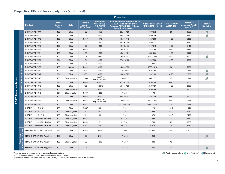#### **Properties: EO-PO block copolymers (continued)**

|             |                              |                             |                                        |                 |                                                |                                                                     | <b>Properties</b>                                                                                                          |                                          |                                  |                                                                  |                                      |
|-------------|------------------------------|-----------------------------|----------------------------------------|-----------------|------------------------------------------------|---------------------------------------------------------------------|----------------------------------------------------------------------------------------------------------------------------|------------------------------------------|----------------------------------|------------------------------------------------------------------|--------------------------------------|
|             |                              | <b>Product</b>              | <b>Active</b><br><b>Content</b><br>(%) | <b>Color</b>    | <b>Specific</b><br>gravity<br><b>ASTM D892</b> | <b>Flash Point.</b><br><b>Closed Cup</b><br>(°C) ASTM<br><b>D93</b> | <b>Cloud Point @1% Aqueous ASTM</b><br>D 2024 / Cloud Point @10%<br>Aqueous ASTM D 2024 / Cloud<br>Point @ 10% solvent (1) | Viscosity cSt 25°C/<br>40°C ASTM 445/446 | Pour Point °C<br><b>ASTM D97</b> | <b>Theoretical</b><br><b>Molecular Weight</b><br>$(q/mol)^{(2)}$ | <b>Product</b><br>highlights         |
|             |                              | DOWFAX™ DF 111              | 100                                    | Clear           | 1.02                                           | >150                                                                | 20/15/26                                                                                                                   | 790/372                                  | $-20$                            | 3550                                                             | $\overline{\mathcal{L}}$             |
|             |                              | DOWFAX™ DF 112              | 100                                    | Clear           | 1.05                                           | $>100$                                                              | 49 / 34 / 48                                                                                                               | 680 / 286                                | $-13$                            | 3150                                                             | $\overline{\mathcal{L}}$             |
|             |                              | DOWFAX™ DF 113              | 100                                    | Clear           | 1.017                                          | >170                                                                | 14/11/40                                                                                                                   | 752 / 500                                | $< -20$                          | 5200                                                             |                                      |
|             |                              | DOWFAX™ DF 114              | 100                                    | Clear           | 1.04                                           | 194                                                                 | 40/8/42                                                                                                                    | 810/321                                  | $< -20$                          | 3720                                                             |                                      |
|             |                              | DOWFAX™ DF 117              | 100                                    | Clear           | 1.02                                           | >200                                                                | 10/8/35                                                                                                                    | 710/313                                  | $< -20$                          | 4100                                                             |                                      |
|             |                              | DOWFAX™ DF 122              | 100                                    | Clear           | 1.016                                          | 235                                                                 | 18/10/40                                                                                                                   | 791 / 368                                | $< -20$                          | 4650                                                             |                                      |
|             |                              | DOWFAX™ DF 124              | 100                                    | Clear           | 1.02                                           | >200                                                                | <4 / <4 /31                                                                                                                | 550 / 255                                | $< -20$                          | 4000                                                             |                                      |
|             |                              | DOWFAX™ DF 125              | 100                                    | Clear           | 1.03                                           | >250                                                                | 19/10/40                                                                                                                   | 1490 / 220                               | $< -20$                          | 3000                                                             | $\overline{\smash{\curvearrowleft}}$ |
|             |                              | DOWFAX™ DF 126              | 99.5                                   | Clear           | 1.04                                           | >150                                                                | 22/16/32                                                                                                                   | 750 / 360                                | $< -20$                          | 5600                                                             |                                      |
|             |                              | DOWFAX™ DF 127              | 100                                    | Clear           | 1.05                                           | >100                                                                | $-/-/33$                                                                                                                   | $- / 680$                                | $-13$                            | $\sim$                                                           |                                      |
|             | defoamers                    | DOWFAX™ DF 133              | 100                                    | <b>Brown</b>    | 1.009                                          | >100                                                                | <4 / <4 / 33                                                                                                               | 1000 / 418                               | $-36$                            | 5550                                                             |                                      |
|             |                              | DOWFAX™ DF 141              | 100                                    | Clear           | 0.99                                           | >170                                                                | 13.5/6/28                                                                                                                  | 193 / 96                                 | $< -20$                          | 1800                                                             | $\overline{\mathscr{S}}$             |
|             |                              | DOWFAX™ DF 142              | 99.5                                   | Clear           | 0.99                                           | >150                                                                | 10/10/28                                                                                                                   | 193 / 103                                | $< -20$                          | 2000                                                             |                                      |
| copolymers  | performance                  | DOWFAX™ DF 143              | 100                                    | Clear to yellow | 0.989                                          | 225°C (Open<br>cup ASTM D92)                                        | 12 / < 4 / 13                                                                                                              | 142/72                                   | $-35$                            | 1300                                                             | Ø                                    |
|             |                              | DOWFAX™ DF 144              | 99.5                                   | Clear           | 1.008                                          | $>230^{\circ}$ C                                                    | 8 / < 4 / 28                                                                                                               | 320/180                                  | $<-20$                           | 3600                                                             |                                      |
|             |                              | DOWFAX™ DF 146              | 100                                    | Clear           | 0.98                                           | $>100^{\circ}$ C                                                    | <4 / <4 /20                                                                                                                | 240 / 120                                | $< -20$                          | 2000                                                             |                                      |
|             | <b>High</b>                  | DOWFAX™ DF 147              | 100                                    | Clear to yellow | 1.01                                           | >250                                                                | 18/10/37                                                                                                                   | 520 / 200                                | $\overline{7}$                   | 3800                                                             |                                      |
|             |                              | DOWFAX™ DF 148              | 99.5                                   | Clear to yellow | 1.007                                          | >200                                                                | $-/-/21$                                                                                                                   | $- / 170$                                |                                  | $\sim$                                                           |                                      |
|             |                              | DOWFAX™ DF 161              | 100                                    | Clear           | 1.046                                          | >100                                                                | 44 / 20 / 43                                                                                                               | 780 / 346                                | $< -20$                          | 6500                                                             |                                      |
| EO-PO block |                              | DOWFAX™ DF 162              | 100                                    | Clear to yellow | 1.018                                          | 246°C (Open<br>cup ASTM D92)                                        | 15 / < 4 / 20                                                                                                              | 1340 / 617                               | $< -20$                          | 13500                                                            |                                      |
|             |                              | DOWFAX™ DF 163              | 100                                    | Clear           | 1.044                                          | $\sim$                                                              | 32/17.5/35                                                                                                                 | 1510 / 775                               | $\overline{4}$                   | 12000                                                            |                                      |
|             |                              | UCON™ Lub LB-625            | 100                                    | Clear           | 0.997                                          | 168                                                                 | $-/-/-$                                                                                                                    | $- / 120$                                | $-31.7$                          | 1550                                                             |                                      |
|             |                              | UCON™ Lub LB-1145           | 100                                    | Clear to yellow | $\mathbf{1}$                                   | 191                                                                 | $-/-/-$                                                                                                                    | $- / 233$                                | $-28.9$                          | 2080                                                             |                                      |
|             |                              | UCON™ Lub LB-1715           | 100                                    | Clear to yellow | $\mathbf{1}$                                   | 188                                                                 | $- / - / -$                                                                                                                | $- / 370$                                | $-23.3$                          | 2490                                                             |                                      |
|             |                              | UCON™ Lubricant 50-HB-2000  | 100                                    | Clear to yellow | 1.956                                          | 177                                                                 | $53/-/ -$                                                                                                                  | $- / 398$                                | $-32$                            | 2660                                                             |                                      |
|             |                              | UCON™ Lubricant 50-HB-3520  | 100                                    | Clear to yellow | 1.056                                          | 171                                                                 | $51 / - / -$                                                                                                               | $- / 700$                                | $-29$                            | 3380                                                             |                                      |
|             |                              | UCON™ Lubricant 50-HB-5100  | 100                                    | Clear to yellow | 1.057                                          | 199                                                                 | $50/-/ -$                                                                                                                  | $- / 1015$                               | $-36$                            | 3930                                                             |                                      |
|             | process                      | FLUENT-CANE™ 113 Polyglycol | 99.5                                   | Clear           | 1.018                                          | >182                                                                | $-/-/ -$                                                                                                                   | $- / 435$                                | $-29$                            | $\overline{\phantom{a}}$                                         |                                      |
|             | Sugar cane<br>$\overline{5}$ | FLUENT-CANE™ 149 Polyglycol | 100                                    | Clear           | 1.02                                           | 216                                                                 | $-/-/58$                                                                                                                   | $- / 250$                                |                                  |                                                                  | $\overline{\mathscr{O}}$             |
|             | ermentati                    | FLUENT-CANE™ 178 Polyglycol | 100                                    | Clear to yellow | 1.05                                           | >216                                                                | $- / - / 58$                                                                                                               | $- / 400$                                | 10                               |                                                                  |                                      |
|             |                              | FLUENT-CANE™ 278 Polyglycol | 100                                    | Clear           | 1.05                                           |                                                                     | $-/-/35$                                                                                                                   | $- / 300$                                | 10                               |                                                                  | $\overline{\mathcal{L}}$             |

These are typical properties, not to be construed as specifications.

(1) Surfactant in a solution of 25% diethylene glycol butyl ether in water. (2) Molecular Weight: Calculated from the molecular weight of the initiator and oxide units in the molecule.

Readily biodegradable CleanGredients™ EPA inerts list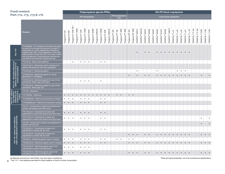<span id="page-7-0"></span>

| <b>Food contact:</b>                                                                     |                                                                                                                                                                                                                                                                                                                                                                                    |                  |                  |                                                  |                    |                   |                    |                   | Polypropylene glycols PPGs |                   |                    |                  |                                                           |                      |                   |                       |                    |                      |                    |                            |                             |                          |                            |                            |                            |                          |                            | <b>EO-PO block copolymers</b> |                             |                             |                             |                             |                              |                                 |                              |                             |                             |                             |
|------------------------------------------------------------------------------------------|------------------------------------------------------------------------------------------------------------------------------------------------------------------------------------------------------------------------------------------------------------------------------------------------------------------------------------------------------------------------------------|------------------|------------------|--------------------------------------------------|--------------------|-------------------|--------------------|-------------------|----------------------------|-------------------|--------------------|------------------|-----------------------------------------------------------|----------------------|-------------------|-----------------------|--------------------|----------------------|--------------------|----------------------------|-----------------------------|--------------------------|----------------------------|----------------------------|----------------------------|--------------------------|----------------------------|-------------------------------|-----------------------------|-----------------------------|-----------------------------|-----------------------------|------------------------------|---------------------------------|------------------------------|-----------------------------|-----------------------------|-----------------------------|
|                                                                                          | Part 172, 173, 175 & 176                                                                                                                                                                                                                                                                                                                                                           |                  |                  |                                                  |                    |                   | PO homopolymer     |                   |                            |                   |                    |                  | PO homopolymer<br>triol<br><b>Linear block copolymers</b> |                      |                   |                       |                    |                      |                    |                            |                             |                          |                            |                            |                            |                          |                            |                               |                             |                             |                             |                             |                              |                                 |                              |                             |                             |                             |
|                                                                                          | <b>Products</b>                                                                                                                                                                                                                                                                                                                                                                    | Polyglycol P-425 | Polyglycol P-600 | $\widehat{\mathfrak{A}}$<br>Polyglycol P 1000-TB | Polyglycol P-1000E | Polyglycol P 1200 | Polyglycol P-1200E | Polyglycol P 2000 | Polyglycol P 2000P         | Polyglycol 2000LM | Polyglycol P-3000E | Polyglycol P4000 | Polyglycol 4000LM                                         | 250<br>Polyglycol PT | Polyglycol PT 700 | 3000<br>Polyglycol PT | Polyglycol PT 4800 | 436<br>Polyglycol EP | Polyglycol EP 436E | DOWFAX <sup>TM</sup> 63N10 | DOWFAX <sup>TM</sup> 63N10L | 63N13<br><b>DOWFAXTM</b> | DOWFAX <sup>TM</sup> 63N30 | DOWFAX <sup>TM</sup> 63N37 | DOWFAX <sup>TM</sup> 63N40 | 81N13<br><b>DOWFAXTM</b> | DOWFAX <sup>TM</sup> 92N20 | DOWFAX <sup>TM</sup> 100N15   | TERGITOL <sup>TM</sup> L-61 | TERGITOL <sup>TM</sup> L-62 | TERGITOL <sup>TM</sup> L-64 | TERGITOL <sup>TM</sup> L-81 | TERGITOL <sup>TM</sup> L-101 | P-104<br>TERGITOL <sup>TM</sup> | TERGITOL <sup>TM</sup> P-105 | TERGITOL <sup>TM</sup> 25R2 | TERGITOL <sup>TM</sup> 17R2 | TERGITOL <sup>TM</sup> 17R4 |
| Part 172*                                                                                | 172.808(b)(3) - As a surfactant and defoaming agent,<br>at levels not to exceed 0.05 percent by weight, in<br>scald baths for poultry defeathering, followed by<br>potable water rinse. The temperatures of the scald<br>baths shall be not less than 125°F. As a foam control<br>and rinse adjuvant in hog dehairing machines at a<br>use level of not more than 5 grams per hog. |                  |                  |                                                  |                    |                   |                    |                   |                            |                   |                    |                  |                                                           |                      |                   |                       |                    |                      |                    |                            |                             |                          |                            |                            |                            |                          |                            |                               |                             |                             |                             |                             |                              |                                 |                              |                             |                             |                             |
|                                                                                          | 173.310 (c) - Boiler water additives<br>173.315 (a) (1) - Chemicals used in washing or to<br>assist in the peeling of fruits and vegetables                                                                                                                                                                                                                                        |                  |                  | $\bullet$                                        |                    | $\bullet$         | $\bullet$          | $\bullet$         |                            |                   | $\bullet$          | $\bullet$        |                                                           |                      |                   |                       |                    |                      |                    |                            |                             |                          |                            |                            |                            |                          |                            |                               |                             |                             |                             |                             |                              |                                 |                              |                             |                             |                             |
| Part 173 - Secondary direct food<br>additives permitted in food for<br>human consumption | 173.340 (a) (1) - Defoaming agents<br>173.340 (a) (2) - Defoaming agents for use as                                                                                                                                                                                                                                                                                                |                  |                  |                                                  |                    |                   |                    |                   |                            |                   |                    |                  |                                                           |                      |                   |                       |                    | $\bullet$            |                    | $\bullet$                  |                             |                          | $\bullet$                  |                            | $\bullet$                  |                          |                            |                               |                             | $\bullet$                   | $\bullet$                   | $\bullet$                   |                              |                                 |                              |                             |                             |                             |
|                                                                                          | described in 172.808(b)(3)<br>173.340 (a) (3) - Defoaming agents for use in food<br>processing - (Beet sugar and yeast)                                                                                                                                                                                                                                                            |                  |                  |                                                  |                    | $\bullet$         | $\bullet$          | $\bullet$         |                            |                   | $\bullet$          |                  |                                                           |                      |                   |                       |                    |                      |                    |                            |                             |                          |                            |                            |                            |                          |                            |                               |                             |                             |                             |                             |                              |                                 |                              |                             |                             |                             |
|                                                                                          | 173.340 (a) (4) - Defoaming agents for use in food<br>processing - Beet sugar only                                                                                                                                                                                                                                                                                                 |                  |                  |                                                  |                    |                   |                    |                   |                            |                   |                    |                  |                                                           |                      |                   |                       |                    |                      |                    |                            |                             |                          |                            |                            |                            |                          |                            |                               |                             |                             |                             |                             |                              |                                 |                              |                             |                             |                             |
| Part 175 - Indirect<br>food additives:<br>Adhesives and<br>compounds of<br>coating       | 175.105 - Adhesives                                                                                                                                                                                                                                                                                                                                                                |                  |                  |                                                  |                    |                   |                    |                   |                            |                   |                    |                  |                                                           |                      |                   |                       |                    |                      |                    |                            |                             |                          |                            |                            |                            |                          |                            |                               |                             |                             |                             |                             |                              |                                 |                              |                             |                             |                             |
|                                                                                          | 175.105(c)(5) - Adhesives                                                                                                                                                                                                                                                                                                                                                          |                  |                  |                                                  |                    |                   |                    |                   |                            |                   |                    | $\bullet$        |                                                           |                      | $\bullet$         | $\bullet$             |                    | $\bullet$ $\bullet$  |                    |                            |                             |                          |                            |                            |                            |                          |                            |                               |                             |                             |                             |                             |                              |                                 |                              |                             |                             |                             |
|                                                                                          | 175.300(b)(3)(ii) - Resinous and polymeric coatings                                                                                                                                                                                                                                                                                                                                | $\bullet$        | $\bullet$        | $\bullet$                                        |                    | $\bullet$         | $\bullet$          | $\bullet$         |                            |                   | $\bullet$          | $\bullet$        |                                                           |                      |                   |                       |                    |                      |                    |                            |                             |                          |                            |                            |                            |                          |                            |                               |                             |                             |                             |                             |                              |                                 |                              |                             |                             |                             |
|                                                                                          | 175.300(b)(3)(xxxii) - Resinous and polymeric coatings                                                                                                                                                                                                                                                                                                                             | $\bullet$        | $\bullet$        |                                                  |                    |                   | $\bullet$          |                   |                            |                   | $\bullet$          |                  |                                                           |                      |                   |                       |                    |                      |                    |                            |                             |                          |                            |                            |                            |                          |                            |                               |                             |                             |                             |                             |                              |                                 |                              |                             |                             |                             |
|                                                                                          | 176.170 - Components of paper and paperboard in<br>contact with aqueous and fatty foods                                                                                                                                                                                                                                                                                            |                  |                  |                                                  |                    |                   |                    |                   |                            |                   |                    |                  |                                                           |                      |                   |                       |                    |                      |                    |                            |                             |                          |                            |                            |                            |                          |                            |                               |                             |                             |                             |                             |                              |                                 |                              |                             |                             |                             |
|                                                                                          | 176.170 (a) (5) - Components of paper and<br>paperboard in contact with aqueous and fatty foods                                                                                                                                                                                                                                                                                    |                  | $\bullet$        |                                                  |                    | $\bullet$         | $\bullet$          |                   |                            |                   | $\bullet$          | $\bullet$        |                                                           |                      |                   |                       |                    |                      |                    |                            |                             |                          |                            |                            |                            |                          |                            |                               |                             |                             |                             |                             |                              |                                 |                              |                             |                             |                             |
|                                                                                          | 176.170 (b) (1) - Components of paper and<br>paperboard in contact with aqueous and fatty foods                                                                                                                                                                                                                                                                                    |                  | $\bullet$        | $\bullet$                                        |                    | $\bullet$         | $\bullet$          | $\bullet$         |                            |                   | $\bullet$          | $\bullet$        |                                                           |                      |                   |                       |                    |                      |                    |                            |                             |                          |                            |                            |                            |                          |                            |                               |                             |                             |                             |                             |                              |                                 |                              | $\bullet$                   |                             |                             |
|                                                                                          | 176.180 - Components of paper and paperboard in<br>contact with dry food                                                                                                                                                                                                                                                                                                           |                  |                  |                                                  |                    |                   |                    |                   |                            |                   |                    |                  |                                                           |                      |                   |                       |                    |                      |                    |                            |                             |                          |                            |                            |                            |                          |                            |                               |                             |                             |                             |                             |                              |                                 |                              |                             |                             |                             |
|                                                                                          | 176.180 (b) (1) - Components of paper and<br>paperboard in contact with dry food                                                                                                                                                                                                                                                                                                   | $\bullet$        | $\bullet$        | $\bullet$                                        |                    | $\bullet$         | $\bullet$          | $\bullet$         |                            |                   | $\bullet$          | $\bullet$        |                                                           |                      |                   |                       |                    |                      |                    |                            |                             |                          |                            |                            |                            |                          |                            |                               |                             |                             |                             |                             |                              |                                 |                              |                             |                             |                             |
| Part 176 - Indirect food additives:<br>Paper and paperboard components                   | 176.180 (b) (2) - Components of paper and<br>paperboard in contact with dry food                                                                                                                                                                                                                                                                                                   |                  |                  |                                                  |                    |                   |                    |                   |                            |                   |                    |                  |                                                           |                      |                   |                       |                    |                      | $\bullet$          |                            |                             | $\bullet$                | $\bullet$                  |                            |                            |                          |                            |                               |                             |                             |                             |                             |                              |                                 |                              |                             |                             |                             |
|                                                                                          | 176.200 (c) - Defoaming agents used in coatings                                                                                                                                                                                                                                                                                                                                    | $\bullet$        | $\bullet$        | $\bullet$                                        |                    | $\bullet$         | $\bullet$          | $\bullet$         |                            |                   | $\bullet$          | $\bullet$        |                                                           |                      | $\bullet$         | $\bullet$             |                    | $\bullet$            | $\bullet$          |                            |                             |                          |                            |                            |                            |                          |                            |                               |                             |                             |                             |                             |                              |                                 |                              |                             |                             |                             |
|                                                                                          | 176.200 (d) (3) - Defoaming agents used in coatings                                                                                                                                                                                                                                                                                                                                | $\bullet$        |                  |                                                  |                    |                   |                    |                   |                            |                   |                    |                  |                                                           |                      |                   |                       |                    |                      | $\bullet$          |                            |                             |                          | $\bullet$                  |                            |                            |                          |                            |                               |                             |                             |                             |                             |                              |                                 |                              |                             |                             |                             |
|                                                                                          | 176.210 (d) (2) - Defoaming agents used in the<br>manufacture of paper and paperboard                                                                                                                                                                                                                                                                                              |                  | $\bullet$        | $\bullet$                                        |                    |                   |                    | $\bullet$         |                            |                   |                    |                  |                                                           |                      |                   |                       |                    |                      |                    |                            |                             |                          |                            |                            |                            |                          |                            |                               |                             |                             |                             |                             |                              |                                 |                              |                             |                             |                             |
|                                                                                          | 176.210 (d) (3) - Defoaming agents used in the<br>manufacture of paper and paperboard                                                                                                                                                                                                                                                                                              |                  |                  |                                                  |                    |                   | $\bullet$          |                   |                            |                   |                    |                  |                                                           |                      |                   |                       |                    | $\bullet$            | $\bullet$          |                            |                             | $\bullet$                | $\bullet$                  |                            |                            |                          |                            |                               |                             |                             |                             |                             |                              |                                 |                              |                             |                             |                             |

(a) Materials sourced from Asia Pacific may have fewer compliances. These are typical properties, not to be construed as specifications.

8 \* Part 172 - Food additives permitted for direct addition to food for human consumption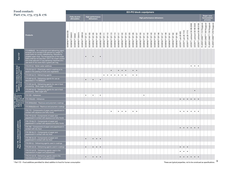#### **Food contact: Pa**

Part 175 - Indirect

Part 175 - Indire<br>food additives

ëđ

|                                                                                          | <b>bod contact:</b>                                                                                                                                                                                                                                                                                                                                                                |                                 |                             |                                     |                             |                             |                             |                             |                             |                               |                             |                             |                             |                             |                             |                             |                             |                             | <b>EO-PO block copolymers</b> |                             |                             |                             |                             |                             |                             |                             |                                                            |                             |                             |                             |                             |                               |                                |                                |                                         |                                         |                                         |                                          |                                                                                      |                                          |
|------------------------------------------------------------------------------------------|------------------------------------------------------------------------------------------------------------------------------------------------------------------------------------------------------------------------------------------------------------------------------------------------------------------------------------------------------------------------------------|---------------------------------|-----------------------------|-------------------------------------|-----------------------------|-----------------------------|-----------------------------|-----------------------------|-----------------------------|-------------------------------|-----------------------------|-----------------------------|-----------------------------|-----------------------------|-----------------------------|-----------------------------|-----------------------------|-----------------------------|-------------------------------|-----------------------------|-----------------------------|-----------------------------|-----------------------------|-----------------------------|-----------------------------|-----------------------------|------------------------------------------------------------|-----------------------------|-----------------------------|-----------------------------|-----------------------------|-------------------------------|--------------------------------|--------------------------------|-----------------------------------------|-----------------------------------------|-----------------------------------------|------------------------------------------|--------------------------------------------------------------------------------------|------------------------------------------|
|                                                                                          | art 172, 173, 175 <mark>&amp;</mark> 176                                                                                                                                                                                                                                                                                                                                           |                                 |                             | <b>Fatty alcohol</b><br>alkoxylates |                             |                             |                             |                             | defoamers                   | <b>High performance</b>       |                             |                             |                             |                             |                             |                             |                             |                             |                               |                             |                             |                             |                             |                             |                             |                             | High performance defoamers                                 |                             |                             |                             |                             |                               |                                |                                |                                         |                                         |                                         |                                          | Sugar cane<br>fermentation<br>process                                                |                                          |
|                                                                                          | <b>Products</b>                                                                                                                                                                                                                                                                                                                                                                    | ⊞<br>DOWFAX <sup>TM</sup> 20A42 | DOWFAX <sup>TM</sup> 20A612 | DOWFAX <sup>TM</sup> 20A64          | DOWFAX <sup>TM</sup> 25A414 | DOWFAX <sup>TM</sup> 20B102 | DOWFAX <sup>TM</sup> DF 101 | DOWFAX <sup>TM</sup> DF 103 | DOWFAX <sup>TM</sup> DF 105 | DOWFAX <sup>TM</sup> DF 107   | DOWFAX <sup>TM</sup> DF 109 | DOWFAX <sup>TM</sup> DF 111 | DOWFAX <sup>TM</sup> DF 112 | DOWFAX <sup>TM</sup> DF 113 | DOWFAX <sup>TM</sup> DF 114 | DOWFAX <sup>TM</sup> DF 117 | DOWFAX <sup>TM</sup> DF 122 | DOWFAX <sup>TM</sup> DF 124 | DOWFAX <sup>TM</sup> DF 125   | DOWFAX <sup>TM</sup> DF 126 | DOWFAX <sup>TM</sup> DF 127 | DOWFAX <sup>TM</sup> DF 133 | DOWFAX <sup>TM</sup> DF 141 | DOWFAX <sup>TM</sup> DF 142 | DOWFAX <sup>TM</sup> DF 143 | DOWFAX <sup>TM</sup> DF 144 | DOWFAX <sup>TM</sup> DF 146<br>DOWFAX <sup>TM</sup> DF 147 | DOWFAX <sup>TM</sup> DF 148 | DOWFAX <sup>TM</sup> DF 161 | DOWFAX <sup>TM</sup> DF 162 | DOWFAX <sup>TM</sup> DF 163 | UCON <sup>TM</sup> Lub LB-625 | UCON <sup>TM</sup> Lub LB-1145 | UCON <sup>TM</sup> Lub LB-1715 | UCON <sup>TM</sup> Lubricant 50-HB-2000 | UCON <sup>TM</sup> Lubricant 50-HB-3520 | UCONT <sup>M</sup> Lubricant 50-HB-5100 | FLUENT-CANE <sup>TM</sup> 113 Polyglycol | FLUENT-CANE <sup>TM</sup> 149 Polyglycol<br>FLUENT-CANE <sup>TM</sup> 178 Polyglycol | FLUENT-CANE <sup>TM</sup> 278 Polyglycol |
| Part 172*                                                                                | 172.808(b)(3) - As a surfactant and defoaming agent,<br>at levels not to exceed 0.05 percent by weight, in<br>scald baths for poultry defeathering, followed by<br>potable water rinse. The temperatures of the scald<br>baths shall be not less than 125°F. As a foam control<br>and rinse adjuvant in hog dehairing machines at a<br>use level of not more than 5 grams per hog. |                                 |                             |                                     |                             |                             |                             |                             |                             |                               |                             |                             |                             |                             |                             |                             |                             |                             |                               |                             |                             |                             |                             |                             |                             |                             |                                                            |                             |                             |                             |                             |                               |                                |                                |                                         |                                         |                                         |                                          |                                                                                      |                                          |
|                                                                                          | 173.310 (c) - Boiler water additives                                                                                                                                                                                                                                                                                                                                               |                                 |                             |                                     |                             |                             |                             |                             |                             |                               |                             |                             |                             |                             |                             |                             |                             |                             |                               |                             |                             |                             |                             |                             |                             |                             |                                                            |                             |                             |                             |                             |                               |                                |                                | $\bullet$                               | $\bullet$                               | $\bullet$                               |                                          |                                                                                      |                                          |
| Part 173 - Secondary direct food<br>additives permitted in food for<br>human consumption | 173.315 (a) (1) - Chemicals used in washing or to<br>assist in the peeling of fruits and vegetables                                                                                                                                                                                                                                                                                |                                 |                             |                                     |                             |                             |                             |                             |                             |                               |                             |                             |                             |                             |                             |                             | $\bullet$                   |                             |                               |                             |                             |                             |                             |                             |                             |                             |                                                            |                             |                             |                             |                             |                               |                                |                                |                                         |                                         |                                         |                                          |                                                                                      |                                          |
|                                                                                          | 173.340 (a) (1) - Defoaming agents                                                                                                                                                                                                                                                                                                                                                 |                                 |                             |                                     |                             |                             |                             |                             |                             |                               |                             | $\bullet$                   | $\bullet$                   | $\bullet$                   | $\bullet$                   | $\bullet$                   | $\bullet$                   | $\bullet$                   |                               | $\bullet$                   | $\bullet$                   |                             |                             |                             |                             |                             |                                                            |                             |                             |                             |                             |                               |                                |                                |                                         |                                         |                                         |                                          |                                                                                      |                                          |
|                                                                                          | 173.340 (a) (2) - Defoaming agents for use as<br>described in 172.808(b)(3)                                                                                                                                                                                                                                                                                                        |                                 |                             |                                     |                             |                             | $\bullet$                   |                             | $\bullet$                   |                               |                             |                             |                             |                             |                             |                             |                             |                             |                               |                             |                             |                             |                             |                             |                             |                             |                                                            |                             |                             |                             |                             |                               |                                |                                |                                         |                                         |                                         |                                          |                                                                                      |                                          |
|                                                                                          | 173.340 (a) (3) - Defoaming agents for use in food<br>processing - (Beet sugar and yeast)                                                                                                                                                                                                                                                                                          |                                 |                             |                                     |                             |                             |                             |                             |                             |                               |                             |                             |                             |                             |                             |                             |                             |                             |                               |                             |                             |                             |                             |                             |                             |                             |                                                            |                             |                             |                             |                             |                               |                                |                                |                                         |                                         |                                         |                                          |                                                                                      |                                          |
|                                                                                          | 173.340 (a) (4) - Defoaming agents for use in food<br>processing - Beet sugar only                                                                                                                                                                                                                                                                                                 |                                 |                             |                                     |                             |                             |                             |                             |                             |                               |                             |                             |                             |                             |                             |                             |                             |                             |                               |                             |                             |                             |                             |                             |                             |                             |                                                            |                             |                             |                             |                             |                               |                                |                                |                                         | $\bullet$                               |                                         |                                          |                                                                                      |                                          |
|                                                                                          | 175.105 - Adhesives                                                                                                                                                                                                                                                                                                                                                                |                                 |                             |                                     |                             |                             | $\bullet$                   |                             | $\bullet$                   |                               | $\bullet$                   |                             |                             |                             |                             |                             |                             |                             |                               |                             |                             |                             | $\bullet$                   |                             |                             |                             |                                                            |                             |                             |                             |                             |                               |                                |                                |                                         |                                         |                                         |                                          |                                                                                      |                                          |
|                                                                                          | 175.105(c)(5) - Adhesives                                                                                                                                                                                                                                                                                                                                                          |                                 |                             |                                     |                             |                             |                             |                             |                             |                               |                             |                             |                             |                             |                             |                             |                             |                             |                               |                             |                             |                             |                             |                             |                             |                             |                                                            |                             |                             |                             |                             |                               | $\bullet$                      | $\bullet$ $\bullet$ $\bullet$  |                                         | $\bullet$ $\bullet$                     |                                         |                                          |                                                                                      |                                          |
| food additives:<br>Adhesives and<br>compounds of                                         | 175.300(b)(3)(ii) - Resinous and polymeric coatings                                                                                                                                                                                                                                                                                                                                |                                 |                             |                                     |                             |                             |                             |                             |                             |                               |                             |                             |                             |                             |                             |                             |                             |                             |                               |                             |                             |                             |                             |                             |                             |                             |                                                            |                             |                             |                             |                             |                               |                                |                                |                                         |                                         |                                         |                                          |                                                                                      |                                          |
|                                                                                          | 175.300(b)(3)(xxxii) - Resinous and polymeric coatings                                                                                                                                                                                                                                                                                                                             |                                 |                             |                                     |                             |                             |                             |                             |                             |                               |                             |                             |                             |                             |                             |                             |                             |                             |                               |                             |                             |                             |                             |                             |                             |                             |                                                            |                             |                             |                             |                             |                               |                                |                                |                                         |                                         |                                         |                                          |                                                                                      |                                          |
|                                                                                          | 176.170 - Components of paper and paperboard in<br>contact with aqueous and fatty foods                                                                                                                                                                                                                                                                                            |                                 |                             |                                     |                             |                             |                             |                             |                             |                               |                             |                             |                             | $\bullet$                   |                             | $\bullet$                   | $\bullet$                   | $\bullet$                   |                               | $\bullet$                   | $\bullet$                   |                             |                             |                             |                             |                             |                                                            |                             |                             |                             |                             | $\bullet$                     | $\bullet$                      | $\bullet$                      | $\bullet$                               | $\bullet$                               | $\bullet$                               |                                          |                                                                                      |                                          |
|                                                                                          | 176.170 (a) (5) - Components of paper and<br>paperboard in contact with aqueous and fatty foods                                                                                                                                                                                                                                                                                    |                                 |                             |                                     |                             |                             |                             |                             |                             |                               |                             |                             |                             |                             |                             |                             |                             |                             |                               |                             |                             |                             |                             |                             |                             |                             |                                                            |                             |                             |                             |                             |                               |                                |                                |                                         |                                         |                                         |                                          |                                                                                      |                                          |
|                                                                                          | 176.170 (b) (1) - Components of paper and<br>paperboard in contact with aqueous and fatty foods                                                                                                                                                                                                                                                                                    |                                 |                             |                                     |                             |                             |                             |                             |                             |                               |                             |                             |                             |                             |                             |                             |                             |                             |                               |                             |                             |                             |                             |                             |                             |                             |                                                            |                             |                             |                             |                             |                               |                                |                                |                                         |                                         |                                         |                                          |                                                                                      |                                          |
| Part 176 - Indirect food additives:<br>Paper and paperboard components                   | 176.180 - Components of paper and paperboard in<br>contact with dry food                                                                                                                                                                                                                                                                                                           |                                 |                             |                                     |                             |                             |                             |                             |                             |                               |                             |                             |                             |                             |                             |                             |                             |                             |                               |                             |                             |                             |                             |                             |                             |                             |                                                            |                             |                             |                             |                             |                               |                                |                                | $\bullet$                               |                                         | $\bullet$                               |                                          |                                                                                      |                                          |
|                                                                                          | 176.180 (b) (1) - Components of paper and<br>paperboard in contact with dry food                                                                                                                                                                                                                                                                                                   |                                 |                             |                                     |                             |                             |                             |                             |                             |                               |                             |                             |                             |                             |                             |                             |                             |                             |                               |                             |                             |                             |                             |                             |                             |                             |                                                            |                             |                             |                             |                             |                               |                                |                                |                                         |                                         |                                         |                                          |                                                                                      |                                          |
|                                                                                          | 176.180 (b) (2) - Components of paper and<br>paperboard in contact with dry food                                                                                                                                                                                                                                                                                                   |                                 |                             |                                     |                             |                             | $\bullet$                   |                             | $\bullet$                   | $\bullet$ $\bullet$           |                             |                             |                             |                             |                             |                             |                             |                             |                               |                             |                             |                             |                             |                             |                             |                             |                                                            |                             |                             |                             |                             |                               |                                |                                |                                         |                                         |                                         |                                          |                                                                                      |                                          |
|                                                                                          | 176.200 (c) - Defoaming agents used in coatings                                                                                                                                                                                                                                                                                                                                    |                                 |                             |                                     |                             |                             |                             |                             |                             |                               |                             |                             |                             |                             |                             |                             |                             |                             |                               |                             |                             |                             |                             |                             |                             |                             |                                                            |                             |                             |                             |                             |                               |                                |                                |                                         |                                         |                                         |                                          |                                                                                      |                                          |
|                                                                                          | 176.200 (d) (3) - Defoaming agents used in coatings                                                                                                                                                                                                                                                                                                                                |                                 |                             |                                     |                             |                             | $\bullet$                   |                             |                             | $\bullet$ $\bullet$ $\bullet$ |                             |                             |                             |                             |                             |                             |                             |                             |                               |                             |                             |                             |                             |                             |                             |                             |                                                            |                             |                             |                             |                             | $\bullet$                     | $\bullet$ $\bullet$            |                                |                                         |                                         |                                         |                                          |                                                                                      |                                          |
|                                                                                          | 176.210 (d) (2) - Defoaming agents used in the<br>manufacture of paper and paperboard                                                                                                                                                                                                                                                                                              |                                 |                             |                                     |                             |                             |                             |                             |                             |                               |                             |                             |                             |                             |                             |                             |                             |                             |                               |                             |                             |                             |                             |                             |                             |                             |                                                            |                             |                             |                             |                             |                               | $\bullet$                      | $\bullet$                      |                                         |                                         |                                         |                                          |                                                                                      |                                          |
|                                                                                          | 176.210 (d) (3) - Defoaming agents used in the<br>manufacture of paper and paperboard                                                                                                                                                                                                                                                                                              |                                 |                             |                                     |                             |                             | $\bullet$                   |                             | $\bullet$                   | $\bullet$                     | $\bullet$                   |                             |                             |                             |                             |                             |                             |                             |                               |                             |                             |                             |                             |                             |                             |                             |                                                            |                             |                             |                             |                             |                               | $\bullet$                      | $\cdot \cdot$                  |                                         | $\bullet$                               | $\bullet$                               |                                          |                                                                                      |                                          |

\* Part 172 - Food additives permitted for direct addition to food for human consumption compution computer and the construed as specifications.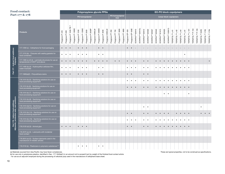<span id="page-9-0"></span>

|                                                                                   | <b>Food contact:</b>                                                                      |                  |                  |                                                                                                                                 |                    |                   |                    | Polypropylene glycols PPGs |                    |                   |                    |                  |                   |                   |                   |                         |                       |                                                          |                    |                            |                             |                            |                            |                            |                            |                            |                            |                             |                             |                             |                             |                             |                              |                              |                              |                             |                             |                             |
|-----------------------------------------------------------------------------------|-------------------------------------------------------------------------------------------|------------------|------------------|---------------------------------------------------------------------------------------------------------------------------------|--------------------|-------------------|--------------------|----------------------------|--------------------|-------------------|--------------------|------------------|-------------------|-------------------|-------------------|-------------------------|-----------------------|----------------------------------------------------------|--------------------|----------------------------|-----------------------------|----------------------------|----------------------------|----------------------------|----------------------------|----------------------------|----------------------------|-----------------------------|-----------------------------|-----------------------------|-----------------------------|-----------------------------|------------------------------|------------------------------|------------------------------|-----------------------------|-----------------------------|-----------------------------|
|                                                                                   | Part 177 & 178                                                                            |                  |                  |                                                                                                                                 |                    |                   |                    | PO homopolymer             |                    |                   |                    |                  |                   |                   |                   | PO homopolymer<br>triol |                       | <b>EO-PO block copolymers</b><br>Linear block copolymers |                    |                            |                             |                            |                            |                            |                            |                            |                            |                             |                             |                             |                             |                             |                              |                              |                              |                             |                             |                             |
|                                                                                   | <b>Products</b>                                                                           | Polyglycol P-425 | Polyglycol P-600 | $\mathfrak{F}% _{T}=\mathfrak{F}_{T}\!\left( a,b\right) ,\ \mathfrak{F}_{T}=C_{T}\!\left( a,b\right) ,$<br>Polyglycol P 1000-TB | Polyglycol P-1000E | Polyglycol P 1200 | Polyglycol P-1200E | Polyglycol P 2000          | Polyglycol P 2000P | Polyglycol 2000LM | Polyglycol P-3000E | Polyglycol P4000 | Polyglycol 4000LM | Polyglycol PT 250 | Polyglycol PT 700 | Polyglycol PT 3000      | 4800<br>Polyglycol PT | Polyglycol EP 436                                        | Polyglycol EP 436E | DOWFAX <sup>TM</sup> 63N10 | DOWFAX <sup>TM</sup> 63N10L | DOWFAX <sup>TM</sup> 63N13 | DOWFAX <sup>TM</sup> 63N30 | DOWFAX <sup>TM</sup> 63N37 | DOWFAX <sup>TM</sup> 63N40 | DOWFAX <sup>TM</sup> 81N13 | DOWFAX <sup>TM</sup> 92N20 | DOWFAX <sup>TM</sup> 100N15 | TERGITOL <sup>TM</sup> L-61 | TERGITOL <sup>TM</sup> L-62 | TERGITOL <sup>TM</sup> L-64 | TERGITOL <sup>TM</sup> L-81 | TERGITOL <sup>TM</sup> L-101 | TERGITOL <sup>TM</sup> P-104 | TERGITOL <sup>TM</sup> P-105 | TERGITOL <sup>TM</sup> 25R2 | TERGITOL <sup>TM</sup> 17R2 | TERGITOL <sup>TM</sup> 17R4 |
|                                                                                   | 177.1200 (c) - Cellophane for food packaging                                              | $\bullet$        |                  |                                                                                                                                 |                    | $\bullet$         | $\bullet$          | $\bullet$                  |                    |                   | $\bullet$          | $\bullet$        |                   |                   |                   |                         |                       | $\bullet$                                                | $\bullet$          |                            |                             | $\overline{\phantom{a}}$   | $\sim$                     |                            | $\sim$                     | $\vert \cdot \vert$        | $\sim$                     | $\sim$                      | $\sim$                      | $\mathcal{L}$               | $\overline{\phantom{a}}$    | $\sim$                      | $\overline{\phantom{a}}$     |                              |                              |                             |                             |                             |
|                                                                                   | 177.1210 (b) - Closures with sealing gaskets for<br>food containers                       | $\bullet$        | $\bullet$        |                                                                                                                                 |                    | $\bullet$         | $\bullet$          | $\bullet$                  |                    |                   | $\bullet$          | $\bullet$        |                   |                   |                   |                         |                       |                                                          |                    |                            |                             |                            |                            |                            |                            |                            |                            |                             |                             |                             |                             | $\bullet$                   |                              |                              |                              |                             |                             |                             |
|                                                                                   | 177.1390 (c) (2) (ii) - Laminate structures for use at<br>temperatures of 250°F and above |                  |                  |                                                                                                                                 |                    | $\bullet$         | $\bullet$          |                            |                    | $\bullet$         | $\bullet$          | $\bullet$        | $\bullet$         |                   | $\bullet$         | $\bullet$               |                       | $\bullet$                                                | $\bullet$          | $\bullet$                  |                             |                            | $\bullet$                  |                            | $\bullet$                  | $\bullet$                  | $\bullet$                  | $\bullet$                   | $\bullet$                   | $\bullet$                   | $\bullet$                   | $\bullet$                   | $\bullet$                    |                              |                              |                             |                             |                             |
| Part 177 - Indirect food additives:<br>Polymers                                   | 177.1400 (b) (4) - Hydroxyethyl cellulose film,<br>water-insoluble                        | $\bullet$        | $\bullet$        | $\bullet$                                                                                                                       |                    | $\bullet$         | $\bullet$          | $\bullet$                  |                    |                   | $\bullet$          | $\bullet$        |                   |                   |                   |                         |                       | $\bullet$                                                | $\bullet$          | $\bullet$                  |                             | $\bullet$                  | $\bullet$                  |                            | $\bullet$                  | $\bullet$                  | $\bullet$                  | $\bullet$                   | $\bullet$                   | $\bullet$                   | $\bullet$                   | $\bullet$                   | $\bullet$                    |                              |                              |                             |                             |                             |
|                                                                                   | 177.1680(a)(2) - Polyurethane resins                                                      | $\bullet$        |                  |                                                                                                                                 |                    | $\bullet$         |                    |                            |                    |                   | $\bullet$          | $\bullet$        |                   |                   |                   |                         |                       | $\bullet$                                                |                    |                            |                             | $\bullet$                  |                            |                            |                            |                            |                            |                             |                             |                             |                             |                             |                              |                              |                              |                             |                             |                             |
|                                                                                   | 178.1010 (b) (5) - Sanitizing solutions for use on<br>food-processing equipment           |                  |                  |                                                                                                                                 |                    |                   |                    |                            |                    |                   |                    |                  |                   |                   |                   |                         |                       | $\bullet$                                                | $\bullet$          | $\bullet$                  |                             | $\bullet$                  | $\bullet$                  |                            | $\bullet$                  | $\bullet$                  | $\bullet$                  | $\bullet$                   | $\bullet$                   | $\bullet$                   | $\bullet$                   | $\bullet$                   | $\bullet$                    |                              |                              |                             |                             |                             |
|                                                                                   | 178.1010 (b) (6) - Sanitizing solutions for use on<br>food-processing equipment           |                  |                  |                                                                                                                                 |                    |                   |                    |                            |                    |                   |                    |                  |                   |                   |                   |                         |                       | $\bullet$                                                | $\bullet$          | $\bullet$                  |                             |                            | $\bullet$                  |                            | $\bullet$                  | $\bullet$                  | $\bullet$                  | $\bullet$                   | $\bullet$                   | $\bullet$                   | $\bullet$                   | $\bullet$                   | $\bullet$                    |                              |                              |                             |                             |                             |
|                                                                                   | 178.1010 (b) (7) - Sanitizing solutions for use on<br>food-processing equipment           |                  |                  |                                                                                                                                 |                    |                   |                    |                            |                    |                   |                    |                  |                   |                   |                   |                         |                       |                                                          |                    |                            |                             |                            |                            |                            |                            |                            | $\bullet$                  | $\bullet$                   |                             |                             |                             |                             | $\bullet$                    |                              |                              |                             |                             |                             |
|                                                                                   | 178.1010 (b) (8) - Sanitizing solutions for use on<br>food-processing equipment           |                  |                  |                                                                                                                                 |                    |                   |                    |                            |                    |                   |                    |                  |                   |                   |                   |                         |                       |                                                          |                    |                            |                             |                            |                            |                            |                            |                            |                            |                             |                             |                             |                             |                             |                              |                              |                              |                             |                             |                             |
| Part 178 - Indirect food additives:<br>Adjuvants, production aids, and sanitizers | 178.1010 (b)(12) - Sanitizing solutions for use on<br>food-processing equipment           |                  |                  |                                                                                                                                 |                    |                   |                    |                            |                    |                   |                    |                  |                   |                   |                   |                         |                       |                                                          |                    |                            |                             | $\bullet$                  | $\bullet$                  |                            |                            |                            |                            |                             |                             |                             |                             |                             |                              |                              |                              |                             |                             |                             |
|                                                                                   | 178.1010 (b) (14) - Sanitizing solutions for use on<br>food-processing equipment          |                  |                  |                                                                                                                                 |                    |                   |                    |                            |                    |                   |                    |                  |                   |                   |                   |                         |                       | $\bullet$                                                |                    |                            |                             | $\bullet$                  | $\bullet$                  |                            | $\bullet$                  | $\bullet$                  | $\bullet$                  | $\bullet$                   |                             | $\bullet$                   | $\bullet$                   | $\bullet$                   | $\bullet$                    |                              |                              |                             |                             |                             |
|                                                                                   | 178.1010 (b) (16) - Sanitizing solutions for use on<br>food-processing equipment          |                  |                  |                                                                                                                                 |                    |                   |                    |                            |                    |                   |                    |                  |                   |                   |                   |                         |                       | $\bullet$                                                | $\bullet$          | $\bullet$                  |                             | $\bullet$                  | $\bullet$                  |                            | $\bullet$                  | $\bullet$                  | $\bullet$                  | $\bullet$                   | $\bullet$                   | $\bullet$                   | $\bullet$                   | $\bullet$                   | $\bullet$                    |                              |                              |                             |                             |                             |
|                                                                                   | 178.3120 (d) (3) - Animal glue                                                            | $\bullet$        | $\bullet$        |                                                                                                                                 |                    | $\bullet$         | $\bullet$          |                            |                    |                   |                    |                  |                   |                   |                   |                         |                       | $\bullet$                                                |                    |                            |                             |                            |                            |                            |                            |                            | $\bullet$                  | $\bullet$                   | $\bullet$                   |                             |                             |                             |                              |                              |                              |                             |                             |                             |
|                                                                                   | 178.3570 (a) (3) - Lubricants with incidental<br>food contact                             |                  |                  |                                                                                                                                 |                    |                   |                    |                            |                    |                   |                    |                  |                   |                   |                   |                         |                       |                                                          |                    |                            |                             |                            |                            |                            |                            |                            |                            |                             |                             |                             |                             |                             |                              |                              |                              |                             |                             |                             |
|                                                                                   | 178.3910 (a) (2) - Surface lubricants used in the<br>manufacture of metallic articles     |                  |                  |                                                                                                                                 |                    |                   |                    |                            |                    |                   |                    |                  |                   |                   |                   |                         |                       |                                                          |                    |                            |                             |                            |                            |                            |                            |                            |                            |                             |                             |                             |                             |                             |                              |                              |                              |                             |                             |                             |
|                                                                                   | 178.3740 (b) - Plasticizers in polymeric substances (b)                                   |                  |                  |                                                                                                                                 |                    | $\bullet$         | $\bullet$          | $\bullet$                  |                    |                   | $\bullet$          | $\bullet$        |                   |                   |                   |                         |                       |                                                          |                    |                            |                             |                            |                            |                            |                            |                            |                            |                             |                             |                             |                             |                             |                              |                              |                              |                             |                             |                             |

(a) Materials sourced from Asia Pacific may have fewer compliances. These are typical properties, not to be construed as specifications.

(b) for use only in polystyrene plastics, identified in Sec. 177.1640(a)(1) in an amount not to exceed 6 pct by weight of the finished food contact article

- for use as an adjuvant employed during the processing of cellulose pulp used in the manufacture of cellophane base sheet.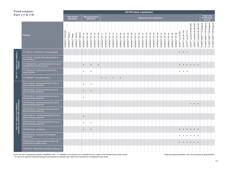|                                                                                   | Food contact:                                                                             |                               |                             |                                     |                             |                             |                             |                             |                             |                             |                             |                             |                             |                             |                             |                             |                             |                             |                             |                             |                             |                             |                             |                             | EO-PO block copolymers      |                                                            |                             |                             |                             |                             |                             |                               |                                |                                |                                         |                                         |                                         |                                          |                                          |                                          |                                          |
|-----------------------------------------------------------------------------------|-------------------------------------------------------------------------------------------|-------------------------------|-----------------------------|-------------------------------------|-----------------------------|-----------------------------|-----------------------------|-----------------------------|-----------------------------|-----------------------------|-----------------------------|-----------------------------|-----------------------------|-----------------------------|-----------------------------|-----------------------------|-----------------------------|-----------------------------|-----------------------------|-----------------------------|-----------------------------|-----------------------------|-----------------------------|-----------------------------|-----------------------------|------------------------------------------------------------|-----------------------------|-----------------------------|-----------------------------|-----------------------------|-----------------------------|-------------------------------|--------------------------------|--------------------------------|-----------------------------------------|-----------------------------------------|-----------------------------------------|------------------------------------------|------------------------------------------|------------------------------------------|------------------------------------------|
|                                                                                   | Part 177 & 178                                                                            |                               |                             | <b>Fatty alcohol</b><br>alkoxylates |                             |                             |                             |                             | defoamers                   | <b>High performance</b>     |                             |                             |                             |                             |                             |                             |                             |                             |                             |                             |                             |                             |                             |                             |                             | High performance defoamers                                 |                             |                             |                             |                             |                             |                               |                                |                                |                                         |                                         |                                         |                                          | Sugar cane<br>fermentation<br>process    |                                          |                                          |
|                                                                                   | <b>Products</b>                                                                           | DOWFAX <sup>TM</sup> 20A42 EB | DOWFAX <sup>TM</sup> 20A612 | DOWFAX <sup>TM</sup> 20A64          | DOWFAX <sup>TM</sup> 25A414 | DOWFAX <sup>TM</sup> 20B102 | DOWFAX <sup>TM</sup> DF 101 | DOWFAX <sup>TM</sup> DF 103 | DOWFAX <sup>TM</sup> DF 105 | DOWFAX <sup>TM</sup> DF 107 | DOWFAX <sup>TM</sup> DF 109 | DOWFAX <sup>TM</sup> DF 111 | DOWFAX <sup>TM</sup> DF 112 | DOWFAX <sup>TM</sup> DF 113 | DOWFAX <sup>TM</sup> DF 114 | DOWFAX <sup>TM</sup> DF 117 | DOWFAX <sup>TM</sup> DF 122 | DOWFAX <sup>TM</sup> DF 124 | DOWFAX <sup>TM</sup> DF 125 | DOWFAX <sup>TM</sup> DF 126 | DOWFAX <sup>TM</sup> DF 127 | DOWFAX <sup>TM</sup> DF 133 | DOWFAX <sup>TM</sup> DF 141 | DOWFAX <sup>TM</sup> DF 142 | DOWFAX <sup>TM</sup> DF 143 | DOWFAX <sup>TM</sup> DF 146<br>DOWFAX <sup>TM</sup> DF 144 | DOWFAX <sup>TM</sup> DF 147 | DOWFAX <sup>TM</sup> DF 148 | DOWFAX <sup>TM</sup> DF 161 | DOWFAX <sup>TM</sup> DF 162 | DOWFAX <sup>TM</sup> DF 163 | UCON <sup>TM</sup> Lub LB-625 | UCON <sup>TM</sup> Lub LB-1145 | UCONT <sup>M</sup> Lub LB-1715 | UCON <sup>TM</sup> Lubricant 50-HB-2000 | UCON <sup>TM</sup> Lubricant 50-HB-3520 | UCON <sup>TM</sup> Lubricant 50-HB-5100 | FLUENT-CANE <sup>TM</sup> 113 Polyglycol | FLUENT-CANE <sup>TM</sup> 149 Polyglycol | FLUENT-CANE <sup>TM</sup> 178 Polyglycol | FLUENT-CANE <sup>TM</sup> 278 Polyglycol |
|                                                                                   | 177.1200 (c) - Cellophane for food packaging                                              |                               |                             |                                     |                             |                             | $\overline{\phantom{a}}$    |                             | $\overline{\phantom{a}}$    |                             | $\overline{\phantom{a}}$    |                             |                             |                             |                             |                             |                             |                             |                             |                             |                             |                             |                             |                             |                             |                                                            |                             |                             |                             |                             |                             | $\bullet$                     | $\bullet$                      | $\bullet$                      |                                         |                                         |                                         |                                          |                                          |                                          |                                          |
|                                                                                   | 177.1210 (b) - Closures with sealing gaskets for<br>food containers                       |                               |                             |                                     |                             |                             |                             |                             |                             |                             |                             |                             |                             |                             |                             |                             |                             |                             |                             |                             |                             |                             |                             |                             |                             |                                                            |                             |                             |                             |                             |                             |                               |                                |                                |                                         |                                         |                                         |                                          |                                          |                                          |                                          |
|                                                                                   | 177.1390 (c) (2) (ii) - Laminate structures for use at<br>temperatures of 250°F and above |                               |                             |                                     |                             |                             | $\bullet$                   |                             | $\bullet$                   |                             | $\bullet$                   |                             |                             |                             |                             |                             |                             |                             |                             |                             |                             |                             |                             |                             |                             |                                                            |                             |                             |                             |                             |                             |                               | $\bullet$                      | $\bullet$                      | $\bullet$                               | $\bullet$                               | $\bullet$                               |                                          |                                          |                                          |                                          |
| Part 177 - Indirect food additives:<br>Polymers                                   | 177.1400 (b) (4) - Hydroxyethyl cellulose film,<br>water-insoluble                        |                               |                             |                                     |                             |                             | $\bullet$                   |                             | $\bullet$                   |                             |                             |                             |                             |                             |                             |                             |                             |                             |                             |                             |                             |                             |                             |                             |                             |                                                            |                             |                             |                             |                             |                             |                               | $\bullet$                      | $\bullet$                      |                                         |                                         |                                         |                                          |                                          |                                          |                                          |
|                                                                                   | 177.1680(a)(2) - Polyurethane resins                                                      |                               |                             |                                     |                             |                             |                             |                             |                             |                             |                             | $\bullet$                   | $\bullet$                   |                             | $\bullet$                   |                             | $\bullet$                   |                             |                             |                             |                             |                             |                             |                             |                             |                                                            |                             |                             |                             |                             |                             |                               |                                |                                |                                         |                                         |                                         |                                          |                                          |                                          |                                          |
|                                                                                   | 178.1010 (b) (5) - Sanitizing solutions for use on<br>food-processing equipment           |                               |                             |                                     |                             |                             | $\bullet$                   |                             | $\bullet$                   |                             |                             |                             |                             |                             |                             |                             |                             |                             |                             |                             |                             |                             |                             |                             |                             |                                                            |                             |                             |                             |                             |                             |                               |                                |                                |                                         |                                         |                                         |                                          |                                          |                                          |                                          |
|                                                                                   | 178.1010 (b) (6) - Sanitizing solutions for use on<br>food-processing equipment           |                               |                             |                                     |                             |                             | $\bullet$                   |                             | $\bullet$                   |                             |                             |                             |                             |                             |                             |                             |                             |                             |                             |                             |                             |                             |                             |                             |                             |                                                            |                             |                             |                             |                             |                             |                               |                                |                                |                                         |                                         |                                         |                                          |                                          |                                          |                                          |
|                                                                                   | 178.1010 (b) (7) - Sanitizing solutions for use on<br>food-processing equipment           |                               |                             |                                     |                             |                             | $\bullet$                   |                             |                             |                             |                             |                             |                             |                             |                             |                             |                             |                             |                             |                             |                             |                             |                             |                             |                             |                                                            |                             |                             |                             |                             |                             |                               |                                |                                |                                         |                                         |                                         |                                          |                                          |                                          |                                          |
|                                                                                   | 178.1010 (b) (8) - Sanitizing solutions for use on<br>food-processing equipment           |                               |                             |                                     |                             |                             |                             |                             |                             |                             |                             |                             |                             |                             |                             |                             |                             |                             |                             |                             |                             |                             |                             |                             |                             |                                                            |                             |                             |                             |                             |                             |                               |                                |                                | $\bullet$                               | $\bullet$                               | $\bullet$                               |                                          |                                          |                                          |                                          |
|                                                                                   | 178.1010 (b)(12) - Sanitizing solutions for use on<br>food-processing equipment           |                               |                             |                                     |                             |                             |                             |                             |                             |                             |                             |                             |                             |                             |                             |                             |                             |                             |                             |                             |                             |                             |                             |                             |                             |                                                            |                             |                             |                             |                             |                             |                               |                                |                                |                                         |                                         |                                         |                                          |                                          |                                          |                                          |
|                                                                                   | 178.1010 (b) (14) - Sanitizing solutions for use on<br>food-processing equipment          |                               |                             |                                     |                             |                             | $\bullet$                   |                             |                             |                             |                             |                             |                             |                             |                             |                             |                             |                             |                             |                             |                             |                             |                             |                             |                             |                                                            |                             |                             |                             |                             |                             |                               |                                |                                |                                         |                                         |                                         |                                          |                                          |                                          |                                          |
| Part 178 - Indirect food additives:<br>Adjuvants, production aids, and sanitizers | 178.1010 (b) (16) - Sanitizing solutions for use on<br>food-processing equipment          |                               |                             |                                     |                             |                             | $\bullet$                   |                             | $\bullet$                   |                             |                             |                             |                             |                             |                             |                             |                             |                             |                             |                             |                             |                             |                             |                             |                             |                                                            |                             |                             |                             |                             |                             |                               |                                |                                |                                         |                                         |                                         |                                          |                                          |                                          |                                          |
|                                                                                   | 178.3120 (d) (3) - Animal glue                                                            |                               |                             |                                     |                             |                             | $\bullet$                   |                             | $\bullet$                   |                             |                             |                             |                             |                             |                             |                             |                             |                             |                             |                             |                             |                             |                             |                             |                             |                                                            |                             |                             |                             |                             |                             |                               | $\bullet$                      | $\bullet$                      | $\bullet$                               | $\bullet$ $\bullet$                     |                                         |                                          |                                          |                                          |                                          |
|                                                                                   | 178.3570 (a) (3) - Lubricants with incidental<br>food contact                             |                               |                             |                                     |                             |                             |                             |                             |                             |                             |                             |                             |                             |                             |                             |                             |                             |                             |                             |                             |                             |                             |                             |                             |                             |                                                            |                             |                             |                             |                             |                             | $\bullet$                     | $\bullet$                      | $\bullet$                      | $\bullet$                               | $\bullet$                               | $\bullet$                               |                                          |                                          |                                          |                                          |
|                                                                                   | 178.3910 (a) (2) - Surface lubricants used in the<br>manufacture of metallic articles     |                               |                             |                                     |                             |                             |                             |                             |                             |                             |                             |                             |                             |                             |                             |                             |                             |                             |                             |                             |                             |                             |                             |                             |                             |                                                            |                             |                             |                             |                             |                             |                               | $\bullet$                      | $\bullet$                      | $\bullet$                               | $\bullet$                               | $\bullet$                               |                                          |                                          |                                          |                                          |
|                                                                                   | 178.3740 (b) - Plasticizers in polymeric substances (b)                                   |                               |                             |                                     |                             |                             |                             |                             |                             |                             |                             |                             |                             |                             |                             |                             |                             |                             |                             |                             |                             |                             |                             |                             |                             |                                                            |                             |                             |                             |                             |                             |                               |                                |                                |                                         |                                         |                                         |                                          |                                          |                                          |                                          |

(b) for use only in polystyrene plastics, identified in Sec. 177.1640(a)(1) in an amount not to exceed 6 pct by weight of the finished food contact article These are typical properties, not to be construed as specification - for use as an adjuvant employed during the processing of cellulose pulp used in the manufacture of cellophane base sheet